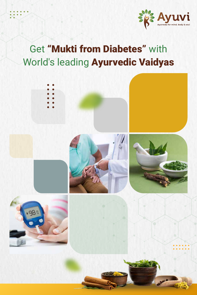

# World's leading Ayurvedic Vaidyas Get "Mukti from Diabetes" with

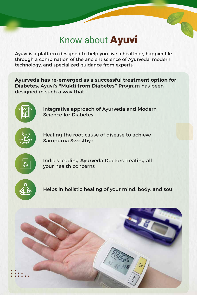## Know about **Ayuvi**

Ayuvi is a platform designed to help you live a healthier, happier life through a combination of the ancient science of Ayurveda, modern technology, and specialized guidance from experts.

**Ayurveda has re-emerged as a successful treatment option for Diabetes.** Ayuvi's **"Mukti from Diabetes"** Program has been designed in such a way that -



Integrative approach of Ayurveda and Modern Science for Diabetes



Healing the root cause of disease to achieve Sampurna Swasthya



India's leading Ayurveda Doctors treating all your health concerns



Helps in holistic healing of your mind, body, and soul

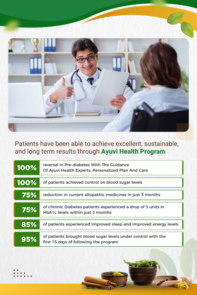

### Patients have been able to achieve excellent, sustainable, and long term results through Ayuvi Health Program

| 100% | reversal In Pre-diabetes With The Guidance<br>Of Ayuvi Health Experts, Personalized Plan And Care       |
|------|---------------------------------------------------------------------------------------------------------|
| 100% | of patients achieved control on blood sugar levels                                                      |
| 75%  | reduction in current allopathic medicines in just 3 months                                              |
| 75%  | of chronic Diabetes patients experienced a drop of 3 units in<br>HbA1c levels within just 3 months      |
| 85%  | of patients experienced improved sleep and improved energy levels                                       |
| 95%  | of patients brought blood sugar levels under control with the<br>first 15 days of following the program |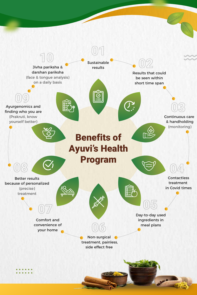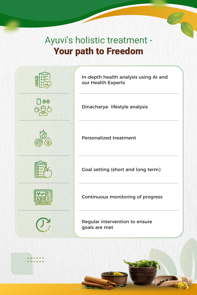## Ayuvi's holistic treatment - Your path to Freedom